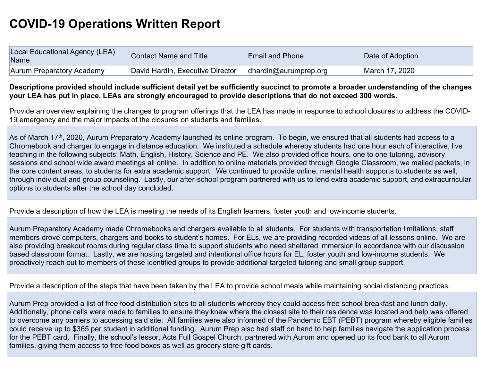## **COVID-19 Operations Written Report**

| Local Educational Agency (LEA)<br>Name | Contact Name and Title           | <b>Email and Phone</b>   | Date of Adoption |
|----------------------------------------|----------------------------------|--------------------------|------------------|
| <b>Aurum Preparatory Academy</b>       | David Hardin, Executive Director | $d$ hardin@aurumprep.org | March 17, 2020   |

## **Descriptions provided should include sufficient detail yet be sufficiently succinct to promote a broader understanding of the changes your LEA has put in place. LEAs are strongly encouraged to provide descriptions that do not exceed 300 words.**

Provide an overview explaining the changes to program offerings that the LEA has made in response to school closures to address the COVID-19 emergency and the major impacts of the closures on students and families.

As of March 17<sup>th</sup>, 2020, Aurum Preparatory Academy launched its online program. To begin, we ensured that all students had access to a Chromebook and charger to engage in distance education. We instituted a schedule whereby students had one hour each of interactive, live teaching in the following subjects: Math, English, History, Science and PE. We also provided office hours, one to one tutoring, advisory sessions and school wide award meetings all online. In addition to online materials provided through Google Classroom, we mailed packets, in the core content areas, to students for extra academic support. We continued to provide online, mental health supports to students as well, through individual and group counseling. Lastly, our after-school program partnered with us to lend extra academic support, and extracurricular options to students after the school day concluded.

Provide a description of how the LEA is meeting the needs of its English learners, foster youth and low-income students.

Aurum Preparatory Academy made Chromebooks and chargers available to all students. For students with transportation limitations, staff members drove computers, chargers and books to student's homes. For ELs, we are providing recorded videos of all lessons online. We are also providing breakout rooms during regular class time to support students who need sheltered immersion in accordance with our discussion based classroom format. Lastly, we are hosting targeted and intentional office hours for EL, foster youth and low-income students. We proactively reach out to members of these identified groups to provide additional targeted tutoring and small group support.

Provide a description of the steps that have been taken by the LEA to provide school meals while maintaining social distancing practices.

Aurum Prep provided a list of free food distribution sites to all students whereby they could access free school breakfast and lunch daily. Additionally, phone calls were made to families to ensure they knew where the closest site to their residence was located and help was offered to overcome any barriers to accessing said site. All families were also informed of the Pandemic EBT (PEBT) program whereby eligible families could receive up to \$365 per student in additional funding. Aurum Prep also had staff on hand to help families navigate the application process for the PEBT card. Finally, the school's lessor, Acts Full Gospel Church, partnered with Aurum and opened up its food bank to all Aurum families, giving them access to free food boxes as well as grocery store gift cards.